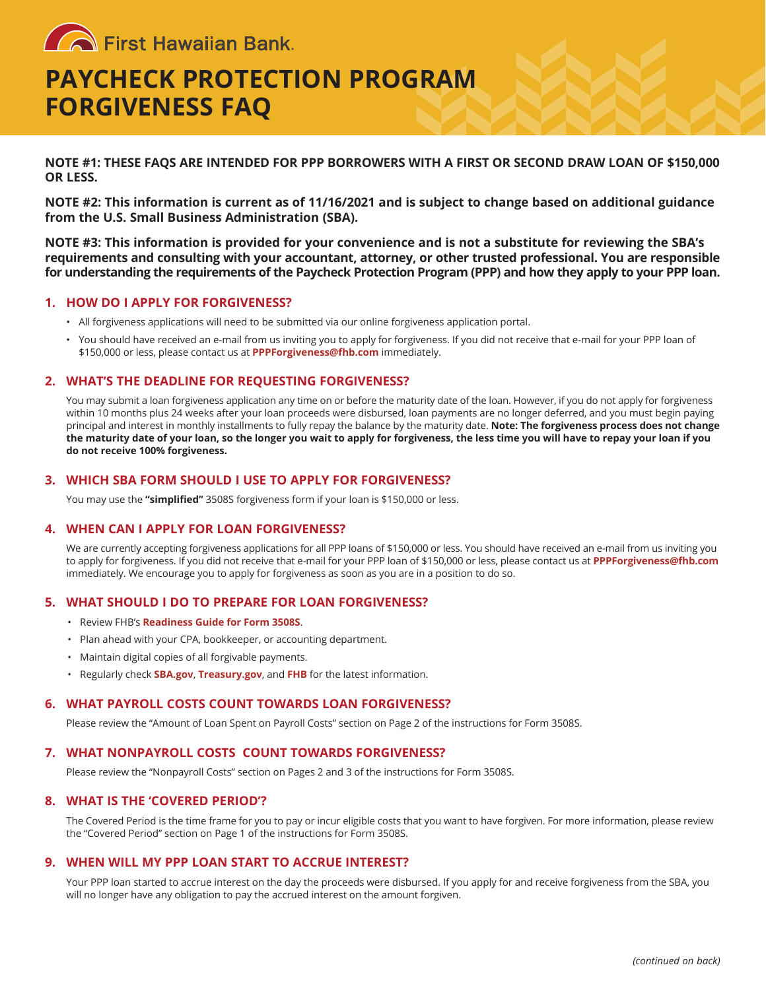**Confirst Hawaiian Bank** 

# **PAYCHECK PROTECTION PROGRAM FORGIVENESS FAQ**

**NOTE #1: THESE FAQS ARE INTENDED FOR PPP BORROWERS WITH A FIRST OR SECOND DRAW LOAN OF \$150,000 OR LESS.**

**NOTE #2: This information is current as of 11/16/2021 and is subject to change based on additional guidance from the U.S. Small Business Administration (SBA).**

**NOTE #3: This information is provided for your convenience and is not a substitute for reviewing the SBA's requirements and consulting with your accountant, attorney, or other trusted professional. You are responsible for understanding the requirements of the Paycheck Protection Program (PPP) and how they apply to your PPP loan.**

# **1. HOW DO I APPLY FOR FORGIVENESS?**

- All forgiveness applications will need to be submitted via our online forgiveness application portal.
- You should have received an e-mail from us inviting you to apply for forgiveness. If you did not receive that e-mail for your PPP loan of \$150,000 or less, please contact us at **[PPPForgiveness@fhb.com](mailto:PPPForgiveness@fhb.com)** immediately.

## **2. WHAT'S THE DEADLINE FOR REQUESTING FORGIVENESS?**

You may submit a loan forgiveness application any time on or before the maturity date of the loan. However, if you do not apply for forgiveness within 10 months plus 24 weeks after your loan proceeds were disbursed, loan payments are no longer deferred, and you must begin paying principal and interest in monthly installments to fully repay the balance by the maturity date. **Note: The forgiveness process does not change the maturity date of your loan, so the longer you wait to apply for forgiveness, the less time you will have to repay your loan if you do not receive 100% forgiveness.**

## **3. WHICH SBA FORM SHOULD I USE TO APPLY FOR FORGIVENESS?**

You may use the **"simplified"** 3508S forgiveness form if your loan is \$150,000 or less.

#### **4. WHEN CAN I APPLY FOR LOAN FORGIVENESS?**

We are currently accepting forgiveness applications for all PPP loans of \$150,000 or less. You should have received an e-mail from us inviting you to apply for forgiveness. If you did not receive that e-mail for your PPP loan of \$150,000 or less, please contact us at **[PPPForgiveness@fhb.com](mailto:PPPForgiveness@fhb.com)** immediately. We encourage you to apply for forgiveness as soon as you are in a position to do so.

#### **5. WHAT SHOULD I DO TO PREPARE FOR LOAN FORGIVENESS?**

- Review FHB's **Readiness Guide for Form 3508S**.
- Plan ahead with your CPA, bookkeeper, or accounting department.
- Maintain digital copies of all forgivable payments.
- Regularly check **[SBA.gov](https://www.sba.gov/funding-programs/loans/covid-19-relief-options/paycheck-protection-program)**, **[Treasury.gov](https://home.treasury.gov/policy-issues/cares/assistance-for-small-businesses)**, and **[FHB](https://www.fhb.com/covid-19/SBA-paycheck-protection-program)** for the latest information.

#### **6. WHAT PAYROLL COSTS COUNT TOWARDS LOAN FORGIVENESS?**

Please review the "Amount of Loan Spent on Payroll Costs" section on Page 2 of the instructions for Form 3508S.

#### **7. WHAT NONPAYROLL COSTS COUNT TOWARDS FORGIVENESS?**

Please review the "Nonpayroll Costs" section on Pages 2 and 3 of the instructions for Form 3508S.

#### **8. WHAT IS THE 'COVERED PERIOD'?**

The Covered Period is the time frame for you to pay or incur eligible costs that you want to have forgiven. For more information, please review the "Covered Period" section on Page 1 of the instructions for Form 3508S.

## **9. WHEN WILL MY PPP LOAN START TO ACCRUE INTEREST?**

Your PPP loan started to accrue interest on the day the proceeds were disbursed. If you apply for and receive forgiveness from the SBA, you will no longer have any obligation to pay the accrued interest on the amount forgiven.